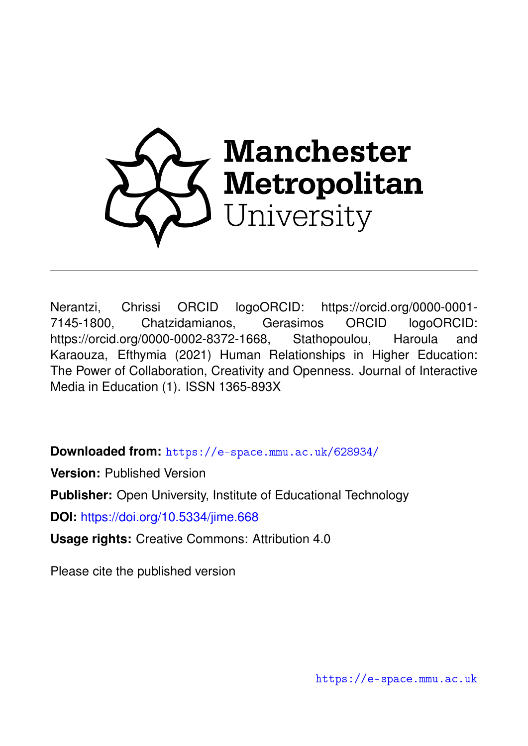

Nerantzi, Chrissi ORCID logoORCID: https://orcid.org/0000-0001- 7145-1800, Chatzidamianos, Gerasimos ORCID logoORCID: https://orcid.org/0000-0002-8372-1668, Stathopoulou, Haroula and Karaouza, Efthymia (2021) Human Relationships in Higher Education: The Power of Collaboration, Creativity and Openness. Journal of Interactive Media in Education (1). ISSN 1365-893X

**Downloaded from:** <https://e-space.mmu.ac.uk/628934/>

**Version:** Published Version

**Publisher:** Open University, Institute of Educational Technology

**DOI:** <https://doi.org/10.5334/jime.668>

**Usage rights:** Creative Commons: Attribution 4.0

Please cite the published version

<https://e-space.mmu.ac.uk>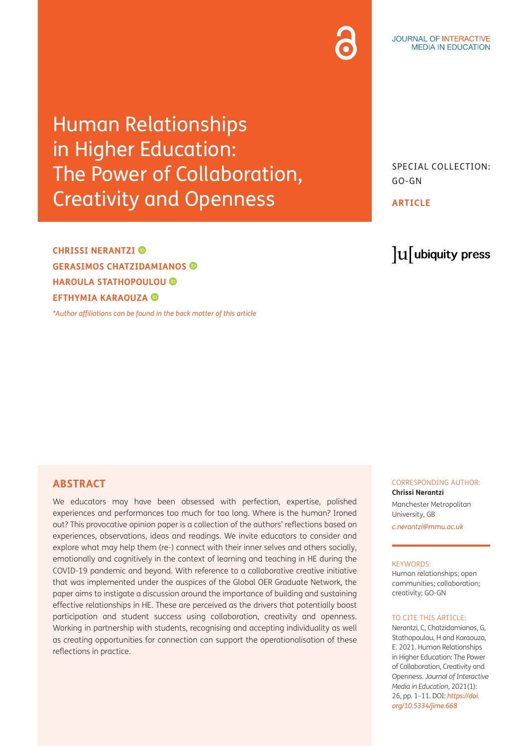## Human Relationships in Higher Education: The Power of Collaboration, Creativity and Openness

**CHRISSI NERANTZI GERASIMOS CHATZIDAMIANOS HAROULA STATHOPOULOU EFTHYMIA KARAOUZA** 

*[\\*Author affiliations can be found in the back matter of this article](#page-8-0)*

SPECIAL COLLECTION: GO-GN

**ARTICLE**

## lu ubiquity press

#### **ABSTRACT**

We educators may have been obsessed with perfection, expertise, polished experiences and performances too much for too long. Where is the human? Ironed out? This provocative opinion paper is a collection of the authors' reflections based on experiences, observations, ideas and readings. We invite educators to consider and explore what may help them (re-) connect with their inner selves and others socially, emotionally and cognitively in the context of learning and teaching in HE during the COVID-19 pandemic and beyond. With reference to a collaborative creative initiative that was implemented under the auspices of the Global OER Graduate Network, the paper aims to instigate a discussion around the importance of building and sustaining effective relationships in HE. These are perceived as the drivers that potentially boost participation and student success using collaboration, creativity and openness. Working in partnership with students, recognising and accepting individuality as well as creating opportunities for connection can support the operationalisation of these reflections in practice.

#### CORRESPONDING AUTHOR: **Chrissi Nerantzi**

Manchester Metropolitan University, GB

*[c.nerantzi@mmu.ac.uk](mailto:c.nerantzi@mmu.ac.uk)*

#### KEYWORDS:

Human relationships; open communities; collaboration; creativity; GO-GN

#### TO CITE THIS ARTICLE.

Nerantzi, C, Chatzidamianos, G, Stathopoulou, H and Karaouza, E. 2021. Human Relationships in Higher Education: The Power of Collaboration, Creativity and Openness. *Journal of Interactive Media in Education*, 2021(1): 26, pp. 1–11. DOI: *[https://doi.](https://doi.org/10.5334/jime.668) [org/10.5334/jime.668](https://doi.org/10.5334/jime.668)*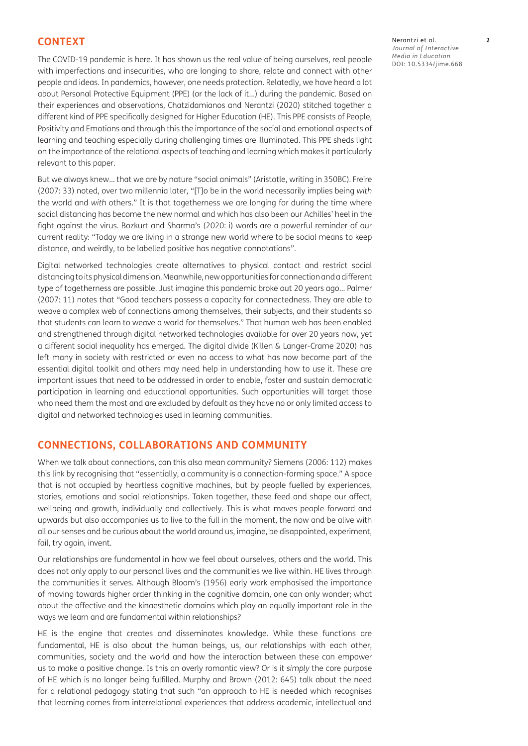#### **CONTEXT**

The COVID-19 pandemic is here. It has shown us the real value of being ourselves, real people with imperfections and insecurities, who are longing to share, relate and connect with other people and ideas. In pandemics, however, one needs protection. Relatedly, we have heard a lot about Personal Protective Equipment (PPE) (or the lack of it…) during the pandemic. Based on their experiences and observations, Chatzidamianos and [Nerantzi \(2020\)](#page-10-0) stitched together a different kind of PPE specifically designed for Higher Education (HE). This PPE consists of People, Positivity and Emotions and through this the importance of the social and emotional aspects of learning and teaching especially during challenging times are illuminated. This PPE sheds light on the importance of the relational aspects of teaching and learning which makes it particularly relevant to this paper.

But we always knew… that we are by nature "social animals" (Aristotle, writing in 350BC). Freire [\(2007](#page-9-0): 33) noted, over two millennia later, "[T]o be in the world necessarily implies being *with* the world and *with* others." It is that togetherness we are longing for during the time where social distancing has become the new normal and which has also been our Achilles' heel in the fight against the virus. Bozkurt and Sharma's [\(2020:](#page-9-0) i) words are a powerful reminder of our current reality: "Today we are living in a strange new world where to be social means to keep distance, and weirdly, to be labelled positive has negative connotations".

Digital networked technologies create alternatives to physical contact and restrict social distancing to its physical dimension. Meanwhile, new opportunities for connection and a different type of togetherness are possible. Just imagine this pandemic broke out 20 years ago… Palmer [\(2007](#page-10-0): 11) notes that "Good teachers possess a capacity for connectedness. They are able to weave a complex web of connections among themselves, their subjects, and their students so that students can learn to weave a world for themselves." That human web has been enabled and strengthened through digital networked technologies available for over 20 years now, yet a different social inequality has emerged. The digital divide [\(Killen & Langer-Crame 2020\)](#page-10-0) has left many in society with restricted or even no access to what has now become part of the essential digital toolkit and others may need help in understanding how to use it. These are important issues that need to be addressed in order to enable, foster and sustain democratic participation in learning and educational opportunities. Such opportunities will target those who need them the most and are excluded by default as they have no or only limited access to digital and networked technologies used in learning communities.

#### **CONNECTIONS, COLLABORATIONS AND COMMUNITY**

When we talk about connections, can this also mean community? Siemens [\(2006](#page-11-0): 112) makes this link by recognising that "essentially, a community is a connection-forming space." A space that is not occupied by heartless cognitive machines, but by people fuelled by experiences, stories, emotions and social relationships. Taken together, these feed and shape our affect, wellbeing and growth, individually and collectively. This is what moves people forward and upwards but also accompanies us to live to the full in the moment, the now and be alive with all our senses and be curious about the world around us, imagine, be disappointed, experiment, fail, try again, invent.

Our relationships are fundamental in how we feel about ourselves, others and the world. This does not only apply to our personal lives and the communities we live within. HE lives through the communities it serves. Although [Bloom's \(1956\)](#page-9-0) early work emphasised the importance of moving towards higher order thinking in the cognitive domain, one can only wonder; what about the affective and the kinaesthetic domains which play an equally important role in the ways we learn and are fundamental within relationships?

HE is the engine that creates and disseminates knowledge. While these functions are fundamental, HE is also about the human beings, us, our relationships with each other, communities, society and the world and how the interaction between these can empower us to make a positive change. Is this an overly romantic view? Or is it *simply* the core purpose of HE which is no longer being fulfilled. [Murphy and Brown \(2012:](#page-10-0) 645) talk about the need for a relational pedagogy stating that such "an approach to HE is needed which recognises that learning comes from interrelational experiences that address academic, intellectual and

Nerantzi et al. **2** *Journal of Interactive Media in Education* DOI: [10.5334/jime.668](https://doi.org/10.5334/jime.668)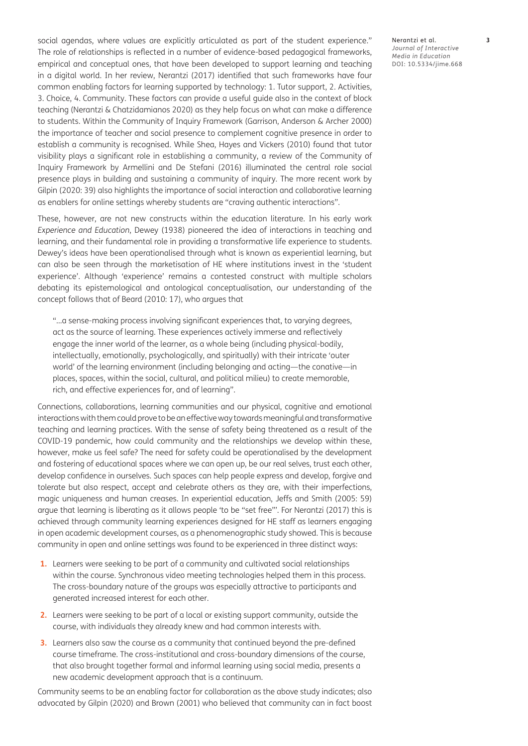social agendas, where values are explicitly articulated as part of the student experience." The role of relationships is reflected in a number of evidence-based pedagogical frameworks, empirical and conceptual ones, that have been developed to support learning and teaching in a digital world. In her review, [Nerantzi \(2017\) i](#page-10-0)dentified that such frameworks have four common enabling factors for learning supported by technology: 1. Tutor support, 2. Activities, 3. Choice, 4. Community. These factors can provide a useful guide also in the context of block teaching ([Nerantzi & Chatzidamianos 2020\)](#page-10-0) as they help focus on what can make a difference to students. Within the Community of Inquiry Framework [\(Garrison, Anderson & Archer 2000\)](#page-9-0) the importance of teacher and social presence to complement cognitive presence in order to establish a community is recognised. While [Shea, Hayes and Vickers \(2010\)](#page-11-0) found that tutor visibility plays a significant role in establishing a community, a review of the Community of Inquiry Framework by [Armellini and De Stefani \(2016\)](#page-9-0) illuminated the central role social presence plays in building and sustaining a community of inquiry. The more recent work by Gilpin ([2020:](#page-9-0) 39) also highlights the importance of social interaction and collaborative learning as enablers for online settings whereby students are "craving authentic interactions".

These, however, are not new constructs within the education literature. In his early work *Experience and Education*, [Dewey \(1938\)](#page-9-0) pioneered the idea of interactions in teaching and learning, and their fundamental role in providing a transformative life experience to students. Dewey's ideas have been operationalised through what is known as experiential learning, but can also be seen through the marketisation of HE where institutions invest in the 'student experience'. Although 'experience' remains a contested construct with multiple scholars debating its epistemological and ontological conceptualisation, our understanding of the concept follows that of Beard ([2010](#page-9-0): 17), who argues that

"…a sense-making process involving significant experiences that, to varying degrees, act as the source of learning. These experiences actively immerse and reflectively engage the inner world of the learner, as a whole being (including physical-bodily, intellectually, emotionally, psychologically, and spiritually) with their intricate 'outer world' of the learning environment (including belonging and acting—the conative—in places, spaces, within the social, cultural, and political milieu) to create memorable, rich, and effective experiences for, and of learning".

Connections, collaborations, learning communities and our physical, cognitive and emotional interactions with them could prove to be an effective way towards meaningful and transformative teaching and learning practices. With the sense of safety being threatened as a result of the COVID-19 pandemic, how could community and the relationships we develop within these, however, make us feel safe? The need for safety could be operationalised by the development and fostering of educational spaces where we can open up, be our real selves, trust each other, develop confidence in ourselves. Such spaces can help people express and develop, forgive and tolerate but also respect, accept and celebrate others as they are, with their imperfections, magic uniqueness and human creases. In experiential education, Jeffs and Smith ([2005](#page-10-0): 59) argue that learning is liberating as it allows people 'to be "set free"'. For [Nerantzi \(2017\) t](#page-10-0)his is achieved through community learning experiences designed for HE staff as learners engaging in open academic development courses, as a phenomenographic study showed. This is because community in open and online settings was found to be experienced in three distinct ways:

- **1.** Learners were seeking to be part of a community and cultivated social relationships within the course. Synchronous video meeting technologies helped them in this process. The cross-boundary nature of the groups was especially attractive to participants and generated increased interest for each other.
- **2.** Learners were seeking to be part of a local or existing support community, outside the course, with individuals they already knew and had common interests with.
- **3.** Learners also saw the course as a community that continued beyond the pre-defined course timeframe. The cross-institutional and cross-boundary dimensions of the course, that also brought together formal and informal learning using social media, presents a new academic development approach that is a continuum.

Community seems to be an enabling factor for collaboration as the above study indicates; also advocated by [Gilpin \(2020\)](#page-9-0) and [Brown \(2001\)](#page-9-0) who believed that community can in fact boost

Nerantzi et al. **3** *Journal of Interactive Media in Education* DOI: 10.5334/jime.668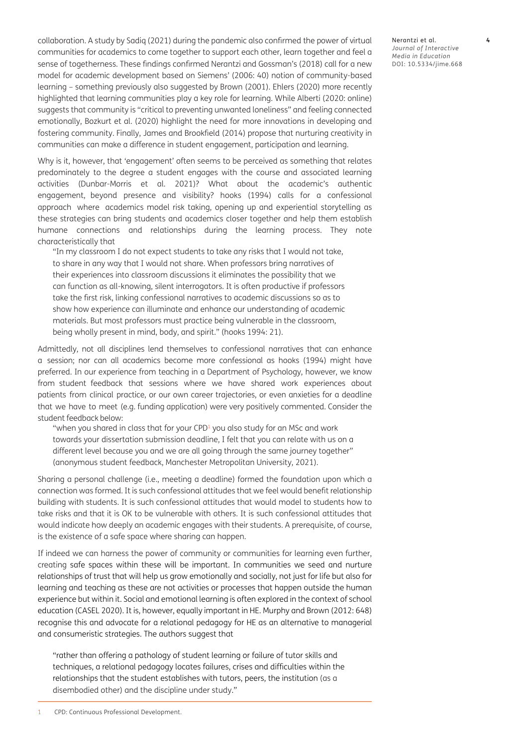collaboration. A study by [Sadiq \(2021\)](#page-11-0) during the pandemic also confirmed the power of virtual communities for academics to come together to support each other, learn together and feel a sense of togetherness. These findings confirmed [Nerantzi and Gossman's \(2018\)](#page-10-0) call for a new model for academic development based on Siemens' [\(2006](#page-11-0): 40) notion of community-based learning – something previously also suggested by [Brown \(2001\).](#page-9-0) [Ehlers \(2020\)](#page-9-0) more recently highlighted that learning communities play a key role for learning. While Alberti ([2020](#page-8-1): online) suggests that community is "critical to preventing unwanted loneliness" and feeling connected emotionally, [Bozkurt et al. \(2020\)](#page-9-0) highlight the need for more innovations in developing and fostering community. Finally, [James and Brookfield \(2014\)](#page-10-0) propose that nurturing creativity in communities can make a difference in student engagement, participation and learning.

Why is it, however, that 'engagement' often seems to be perceived as something that relates predominately to the degree a student engages with the course and associated learning activities [\(Dunbar-Morris et al. 2021\)](#page-9-0)? What about the academic's authentic engagement, beyond presence and visibility? h[ooks \(1994\)](#page-10-0) calls for a confessional approach where academics model risk taking, opening up and experiential storytelling as these strategies can bring students and academics closer together and help them establish humane connections and relationships during the learning process. They note characteristically that

"In my classroom I do not expect students to take any risks that I would not take, to share in any way that I would not share. When professors bring narratives of their experiences into classroom discussions it eliminates the possibility that we can function as all-knowing, silent interrogators. It is often productive if professors take the first risk, linking confessional narratives to academic discussions so as to show how experience can illuminate and enhance our understanding of academic materials. But most professors must practice being vulnerable in the classroom, being wholly present in mind, body, and spirit." (h[ooks 1994](#page-10-0): 21).

Admittedly, not all disciplines lend themselves to confessional narratives that can enhance a session; nor can all academics become more confessional as h[ooks \(1994\)](#page-10-0) might have preferred. In our experience from teaching in a Department of Psychology, however, we know from student feedback that sessions where we have shared work experiences about patients from clinical practice, or our own career trajectories, or even anxieties for a deadline that we have to meet (e.g. funding application) were very positively commented. Consider the student feedback below:

"when you shared in class that for your CPD<sup>1</sup> you also study for an MSc and work towards your dissertation submission deadline, I felt that you can relate with us on a different level because you and we are all going through the same journey together" (anonymous student feedback, Manchester Metropolitan University, 2021).

Sharing a personal challenge (i.e., meeting a deadline) formed the foundation upon which a connection was formed. It is such confessional attitudes that we feel would benefit relationship building with students. It is such confessional attitudes that would model to students how to take risks and that it is OK to be vulnerable with others. It is such confessional attitudes that would indicate how deeply an academic engages with their students. A prerequisite, of course, is the existence of a safe space where sharing can happen.

If indeed we can harness the power of community or communities for learning even further, creating safe spaces within these will be important. In communities we seed and nurture relationships of trust that will help us grow emotionally and socially, not just for life but also for learning and teaching as these are not activities or processes that happen outside the human experience but within it. Social and emotional learning is often explored in the context of school education ([CASEL 2020\)](#page-9-0). It is, however, equally important in HE. [Murphy and Brown \(2012:](#page-10-0) 648) recognise this and advocate for a relational pedagogy for HE as an alternative to managerial and consumeristic strategies. The authors suggest that

"rather than offering a pathology of student learning or failure of tutor skills and techniques, a relational pedagogy locates failures, crises and difficulties within the relationships that the student establishes with tutors, peers, the institution (as a disembodied other) and the discipline under study."

1 CPD: Continuous Professional Development.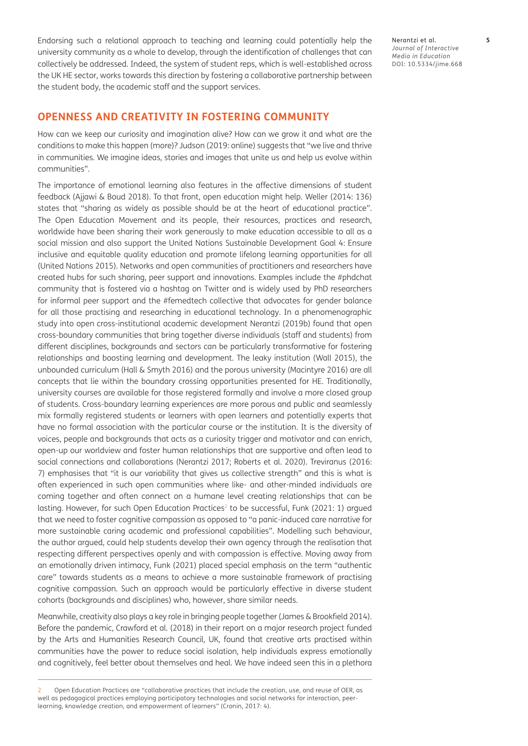Endorsing such a relational approach to teaching and learning could potentially help the university community as a whole to develop, through the identification of challenges that can collectively be addressed. Indeed, the system of student reps, which is well-established across the UK HE sector, works towards this direction by fostering a collaborative partnership between the student body, the academic staff and the support services.

#### **OPENNESS AND CREATIVITY IN FOSTERING COMMUNITY**

How can we keep our curiosity and imagination alive? How can we grow it and what are the conditions to make this happen (more)? Judson ([2019:](#page-10-0) online) suggests that "we live and thrive in communities. We imagine ideas, stories and images that unite us and help us evolve within communities".

The importance of emotional learning also features in the affective dimensions of student feedback ([Ajjawi & Boud 2018](#page-8-1)). To that front, open education might help. Weller [\(2014](#page-11-0): 136) states that "sharing as widely as possible should be at the heart of educational practice". The Open Education Movement and its people, their resources, practices and research, worldwide have been sharing their work generously to make education accessible to all as a social mission and also support the United Nations Sustainable Development Goal 4: Ensure inclusive and equitable quality education and promote lifelong learning opportunities for all [\(United Nations 2015](#page-11-0)). Networks and open communities of practitioners and researchers have created hubs for such sharing, peer support and innovations. Examples include the #phdchat community that is fostered via a hashtag on Twitter and is widely used by PhD researchers for informal peer support and the #femedtech collective that advocates for gender balance for all those practising and researching in educational technology. In a phenomenographic study into open cross-institutional academic development [Nerantzi \(2019b\)](#page-10-0) found that open cross-boundary communities that bring together diverse individuals (staff and students) from different disciplines, backgrounds and sectors can be particularly transformative for fostering relationships and boosting learning and development. The leaky institution [\(Wall 2015\)](#page-11-0), the unbounded curriculum ([Hall & Smyth 2016\)](#page-9-0) and the porous university [\(Macintyre 2016\)](#page-10-0) are all concepts that lie within the boundary crossing opportunities presented for HE. Traditionally, university courses are available for those registered formally and involve a more closed group of students. Cross-boundary learning experiences are more porous and public and seamlessly mix formally registered students or learners with open learners and potentially experts that have no formal association with the particular course or the institution. It is the diversity of voices, people and backgrounds that acts as a curiosity trigger and motivator and can enrich, open-up our worldview and foster human relationships that are supportive and often lead to social connections and collaborations ([Nerantzi 2017;](#page-10-0) [Roberts et al. 2020\)](#page-11-0). Treviranus ([2016](#page-11-0): 7) emphasises that "it is our variability that gives us collective strength" and this is what is often experienced in such open communities where like- and other-minded individuals are coming together and often connect on a humane level creating relationships that can be lasting. However, for such Open Education Practices<sup>2</sup> to be successful, Funk [\(2021:](#page-9-0) 1) argued that we need to foster cognitive compassion as opposed to "a panic-induced care narrative for more sustainable caring academic and professional capabilities". Modelling such behaviour, the author argued, could help students develop their own agency through the realisation that respecting different perspectives openly and with compassion is effective. Moving away from an emotionally driven intimacy, [Funk \(2021\)](#page-9-0) placed special emphasis on the term "authentic care" towards students as a means to achieve a more sustainable framework of practising cognitive compassion. Such an approach would be particularly effective in diverse student cohorts (backgrounds and disciplines) who, however, share similar needs.

Meanwhile, creativity also plays a key role in bringing people together [\(James & Brookfield 2014](#page-10-0)). Before the pandemic, [Crawford et al. \(2018\)](#page-9-0) in their report on a major research project funded by the Arts and Humanities Research Council, UK, found that creative arts practised within communities have the power to reduce social isolation, help individuals express emotionally and cognitively, feel better about themselves and heal. We have indeed seen this in a plethora

Nerantzi et al. **5** *Journal of Interactive Media in Education* DOI: 10.5334/jime.668

<sup>2</sup> Open Education Practices are "collaborative practices that include the creation, use, and reuse of OER, as well as pedagogical practices employing participatory technologies and social networks for interaction, peerlearning, knowledge creation, and empowerment of learners" ([Cronin, 2017](#page-9-0): 4).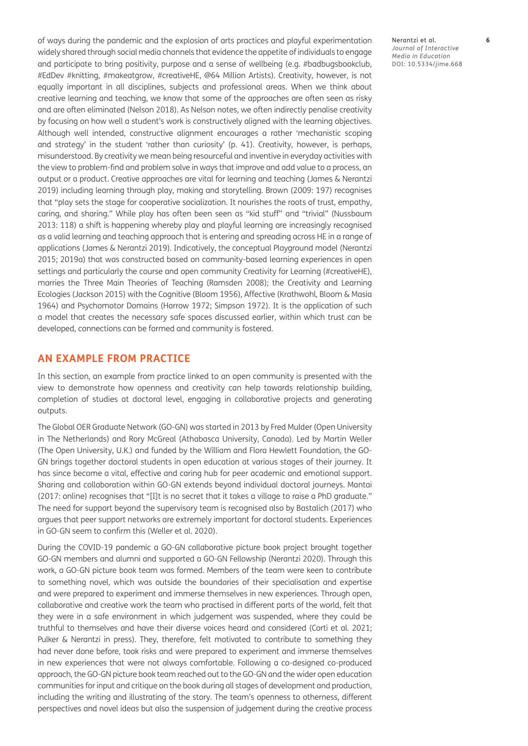of ways during the pandemic and the explosion of arts practices and playful experimentation widely shared through social media channels that evidence the appetite of individuals to engage and participate to bring positivity, purpose and a sense of wellbeing (e.g. #badbugsbookclub, #EdDev #knitting, #makeatgrow, #creativeHE, @64 Million Artists). Creativity, however, is not equally important in all disciplines, subjects and professional areas. When we think about creative learning and teaching, we know that some of the approaches are often seen as risky and are often eliminated [\(Nelson 2018](#page-10-0)). As Nelson notes, we often indirectly penalise creativity by focusing on how well a student's work is constructively aligned with the learning objectives. Although well intended, constructive alignment encourages a rather 'mechanistic scoping and strategy' in the student 'rather than curiosity' (p. 41). Creativity, however, is perhaps, misunderstood. By creativity we mean being resourceful and inventive in everyday activities with the view to problem-find and problem solve in ways that improve and add value to a process, an output or a product. Creative approaches are vital for learning and teaching [\(James & Nerantzi](#page-10-0)  [2019](#page-10-0)) including learning through play, making and storytelling. Brown ([2009](#page-9-0): 197) recognises that "play sets the stage for cooperative socialization. It nourishes the roots of trust, empathy, caring, and sharing." While play has often been seen as "kid stuff" and "trivial" ([Nussbaum](#page-10-0)  [2013](#page-10-0): 118) a shift is happening whereby play and playful learning are increasingly recognised as a valid learning and teaching approach that is entering and spreading across HE in a range of applications ([James & Nerantzi 2019\)](#page-10-0). Indicatively, the conceptual Playground model [\(Nerantzi](#page-10-0)  [2015](#page-10-0); [2019a](#page-10-0)) that was constructed based on community-based learning experiences in open settings and particularly the course and open community Creativity for Learning (#creativeHE), marries the Three Main Theories of Teaching [\(Ramsden 2008\)](#page-10-0); the Creativity and Learning Ecologies [\(Jackson 2015\)](#page-10-0) with the Cognitive [\(Bloom 1956](#page-9-0)), Affective [\(Krathwohl, Bloom & Masia](#page-10-0)  [1964](#page-10-0)) and Psychomotor Domains [\(Harrow 1972;](#page-10-0) [Simpson 1972\)](#page-11-0). It is the application of such a model that creates the necessary safe spaces discussed earlier, within which trust can be developed, connections can be formed and community is fostered.

### **AN EXAMPLE FROM PRACTICE**

In this section, an example from practice linked to an open community is presented with the view to demonstrate how openness and creativity can help towards relationship building, completion of studies at doctoral level, engaging in collaborative projects and generating outputs.

The Global OER Graduate Network ([GO-GN](https://go-gn.net/)) was started in 2013 by Fred Mulder (Open University in The Netherlands) and Rory McGreal (Athabasca University, Canada). Led by Martin Weller (The Open University, U.K.) and funded by the William and Flora Hewlett Foundation, the GO-GN brings together doctoral students in open education at various stages of their journey. It has since become a vital, effective and caring hub for peer academic and emotional support. Sharing and collaboration within GO-GN extends beyond individual doctoral journeys. Mantai [\(2017](#page-10-0): online) recognises that "[I]t is no secret that it takes a village to raise a PhD graduate." The need for support beyond the supervisory team is recognised also by [Bastalich \(2017\)](#page-9-0) who argues that peer support networks are extremely important for doctoral students. Experiences in GO-GN seem to confirm this [\(Weller et al. 2020\)](#page-11-0).

During the COVID-19 pandemic a GO-GN collaborative picture book project brought together GO-GN members and alumni and supported a GO-GN Fellowship ([Nerantzi 2020\)](#page-10-0). Through this work, a GO-GN picture book team was formed. Members of the team were keen to contribute to something novel, which was outside the boundaries of their specialisation and expertise and were prepared to experiment and immerse themselves in new experiences. Through open, collaborative and creative work the team who practised in different parts of the world, felt that they were in a safe environment in which judgement was suspended, where they could be truthful to themselves and have their diverse voices heard and considered ([Corti et al. 2021](#page-9-0); [Pulker & Nerantzi in press\)](#page-10-0). They, therefore, felt motivated to contribute to something they had never done before, took risks and were prepared to experiment and immerse themselves in new experiences that were not always comfortable. Following a co-designed co-produced approach, the GO-GN picture book team reached out to the GO-GN and the wider open education communities for input and critique on the book during all stages of development and production, including the writing and illustrating of the story. The team's openness to otherness, different perspectives and novel ideas but also the suspension of judgement during the creative process

Nerantzi et al. **6** *Journal of Interactive Media in Education* DOI: 10.5334/jime.668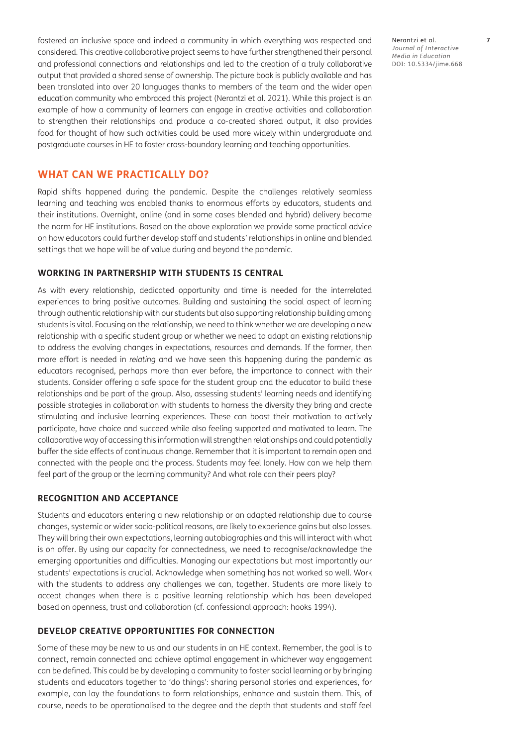fostered an inclusive space and indeed a community in which everything was respected and considered. This creative collaborative project seems to have further strengthened their personal and professional connections and relationships and led to the creation of a truly collaborative output that provided a shared sense of ownership. The picture book is publicly available and has been translated into over 20 languages thanks to members of the team and the wider open education community who embraced this project [\(Nerantzi et al. 2021](#page-10-0)). While this project is an example of how a community of learners can engage in creative activities and collaboration to strengthen their relationships and produce a co-created shared output, it also provides food for thought of how such activities could be used more widely within undergraduate and postgraduate courses in HE to foster cross-boundary learning and teaching opportunities.

#### **WHAT CAN WE PRACTICALLY DO?**

Rapid shifts happened during the pandemic. Despite the challenges relatively seamless learning and teaching was enabled thanks to enormous efforts by educators, students and their institutions. Overnight, online (and in some cases blended and hybrid) delivery became the norm for HE institutions. Based on the above exploration we provide some practical advice on how educators could further develop staff and students' relationships in online and blended settings that we hope will be of value during and beyond the pandemic.

#### **WORKING IN PARTNERSHIP WITH STUDENTS IS CENTRAL**

As with every relationship, dedicated opportunity and time is needed for the interrelated experiences to bring positive outcomes. Building and sustaining the social aspect of learning through authentic relationship with our students but also supporting relationship building among students is vital. Focusing on the relationship, we need to think whether we are developing a new relationship with a specific student group or whether we need to adapt an existing relationship to address the evolving changes in expectations, resources and demands. If the former, then more effort is needed in *relating* and we have seen this happening during the pandemic as educators recognised, perhaps more than ever before, the importance to connect with their students. Consider offering a safe space for the student group and the educator to build these relationships and be part of the group. Also, assessing students' learning needs and identifying possible strategies in collaboration with students to harness the diversity they bring and create stimulating and inclusive learning experiences. These can boost their motivation to actively participate, have choice and succeed while also feeling supported and motivated to learn. The collaborative way of accessing this information will strengthen relationships and could potentially buffer the side effects of continuous change. Remember that it is important to remain open and connected with the people and the process. Students may feel lonely. How can we help them feel part of the group or the learning community? And what role can their peers play?

#### **RECOGNITION AND ACCEPTANCE**

Students and educators entering a new relationship or an adapted relationship due to course changes, systemic or wider socio-political reasons, are likely to experience gains but also losses. They will bring their own expectations, learning autobiographies and this will interact with what is on offer. By using our capacity for connectedness, we need to recognise/acknowledge the emerging opportunities and difficulties. Managing our expectations but most importantly our students' expectations is crucial. Acknowledge when something has not worked so well. Work with the students to address any challenges we can, together. Students are more likely to accept changes when there is a positive learning relationship which has been developed based on openness, trust and collaboration (cf. confessional approach: h[ooks 1994](#page-10-0)).

#### **DEVELOP CREATIVE OPPORTUNITIES FOR CONNECTION**

Some of these may be new to us and our students in an HE context. Remember, the goal is to connect, remain connected and achieve optimal engagement in whichever way engagement can be defined. This could be by developing a community to foster social learning or by bringing students and educators together to 'do things': sharing personal stories and experiences, for example, can lay the foundations to form relationships, enhance and sustain them. This, of course, needs to be operationalised to the degree and the depth that students and staff feel

Nerantzi et al. **7** *Journal of Interactive Media in Education* DOI: 10.5334/jime.668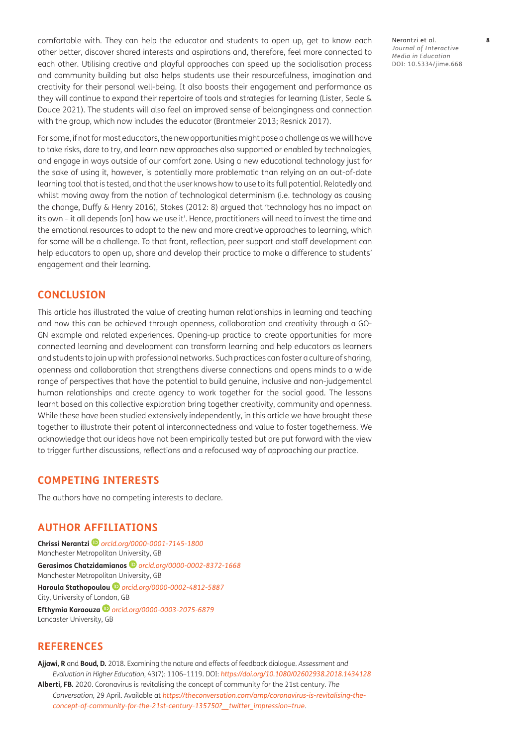<span id="page-8-1"></span>comfortable with. They can help the educator and students to open up, get to know each other better, discover shared interests and aspirations and, therefore, feel more connected to each other. Utilising creative and playful approaches can speed up the socialisation process and community building but also helps students use their resourcefulness, imagination and creativity for their personal well-being. It also boosts their engagement and performance as they will continue to expand their repertoire of tools and strategies for learning [\(Lister, Seale &](#page-10-0)  [Douce 2021](#page-10-0)). The students will also feel an improved sense of belongingness and connection with the group, which now includes the educator ([Brantmeier 2013;](#page-9-0) [Resnick 2017](#page-11-0)).

For some, if not for most educators, the new opportunities might pose a challenge as we will have to take risks, dare to try, and learn new approaches also supported or enabled by technologies, and engage in ways outside of our comfort zone. Using a new educational technology just for the sake of using it, however, is potentially more problematic than relying on an out-of-date learning tool that is tested, and that the user knows how to use to its full potential. Relatedly and whilst moving away from the notion of technological determinism (i.e. technology as causing the change, [Duffy & Henry 2016](#page-9-0)), Stokes [\(2012](#page-11-0): 8) argued that 'technology has no impact on its own – it all depends [on] how we use it'. Hence, practitioners will need to invest the time and the emotional resources to adapt to the new and more creative approaches to learning, which for some will be a challenge. To that front, reflection, peer support and staff development can help educators to open up, share and develop their practice to make a difference to students' engagement and their learning.

#### **CONCLUSION**

This article has illustrated the value of creating human relationships in learning and teaching and how this can be achieved through openness, collaboration and creativity through a GO-GN example and related experiences. Opening-up practice to create opportunities for more connected learning and development can transform learning and help educators as learners and students to join up with professional networks. Such practices can foster a culture of sharing, openness and collaboration that strengthens diverse connections and opens minds to a wide range of perspectives that have the potential to build genuine, inclusive and non-judgemental human relationships and create agency to work together for the social good. The lessons learnt based on this collective exploration bring together creativity, community and openness. While these have been studied extensively independently, in this article we have brought these together to illustrate their potential interconnectedness and value to foster togetherness. We acknowledge that our ideas have not been empirically tested but are put forward with the view to trigger further discussions, reflections and a refocused way of approaching our practice.

#### **COMPETING INTERESTS**

The authors have no competing interests to declare.

#### <span id="page-8-0"></span>**AUTHOR AFFILIATIONS**

**Chrissi Nerantzi** *[orcid.org/0000-0001-7145-1800](https://orcid.org/0000-0001-7145-1800)* Manchester Metropolitan University, GB **Gerasimos Chatzidamianos***[orcid.org/0000-0002-8372-1668](https://orcid.org/0000-0002-8372-1668)* Manchester Metropolitan University, GB **Haroula Stathopoulou***[orcid.org/0000-0002-4812-5887](https://orcid.org/0000-0002-4812-5887)* City, University of London, GB **Efthymia Karaouza***[orcid.org/0000-0003-2075-6879](https://orcid.org/0000-0003-2075-6879)* Lancaster University, GB

#### **REFERENCES**

**Ajjawi, R** and **Boud, D.** 2018. Examining the nature and effects of feedback dialogue. *Assessment and Evaluation in Higher Education*, 43(7): 1106–1119. DOI: *<https://doi.org/10.1080/02602938.2018.1434128>* **Alberti, FB.** 2020. Coronavirus is revitalising the concept of community for the 21st century. *The Conversation*, 29 April. Available at *[https://theconversation.com/amp/coronavirus-is-revitalising-the](https://theconversation.com/amp/coronavirus-is-revitalising-the-concept-of-community-for-the-21st-century-135750?__twitter_impression=true)[concept-of-community-for-the-21st-century-135750?\\_\\_twitter\\_impression=true](https://theconversation.com/amp/coronavirus-is-revitalising-the-concept-of-community-for-the-21st-century-135750?__twitter_impression=true)*.

Nerantzi et al. **8** *Journal of Interactive Media in Education* DOI: 10.5334/jime.668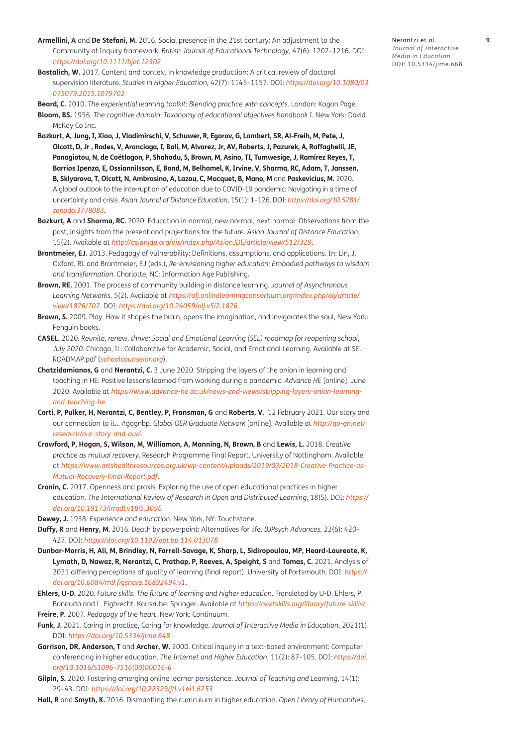- <span id="page-9-0"></span>**Armellini, A** and **De Stefani, M.** 2016. Social presence in the 21st century: An adjustment to the Community of Inquiry framework. *British Journal of Educational Technology*, 47(6): 1202–1216. DOI: *<https://doi.org/10.1111/bjet.12302>*
- **Bastalich, W.** 2017. Content and context in knowledge production: A critical review of doctoral supervision literature. *Studies in Higher Education*, 42(7): 1145–1157. DOI: *[https://doi.org/10.1080/03](https://doi.org/10.1080/03075079.2015.1079702) [075079.2015.1079702](https://doi.org/10.1080/03075079.2015.1079702)*
- **Beard, C.** 2010. *The experiential learning toolkit: Blending practice with concepts*. London: Kogan Page.
- **Bloom, BS.** 1956. *The cognitive domain: Taxonomy of educational objectives handbook I*. New York: David McKay Co Inc.
- **Bozkurt, A, Jung, I, Xiao, J, Vladimirschi, V, Schuwer, R, Egorov, G, Lambert, SR, Al-Freih, M, Pete, J, Olcott, D, Jr , Rodes, V, Aranciaga, I, Bali, M, Alvarez, Jr, AV, Roberts, J, Pazurek, A, Raffaghelli, JE, Panagiotou, N, de Coëtlogon, P, Shahadu, S, Brown, M, Asino, TI, Tumwesige, J, Ramírez Reyes, T, Barrios Ipenza, E, Ossiannilsson, E, Bond, M, Belhamel, K, Irvine, V, Sharma, RC, Adam, T, Janssen, B, Sklyarova, T, Olcott, N, Ambrosino, A, Lazou, C, Mocquet, B, Mano, M** and **Paskevicius, M.** 2020. A global outlook to the interruption of education due to COVID-19 pandemic: Navigating in a time of uncertainty and crisis. *Asian Journal of Distance Education*, 15(1): 1–126. DOI: *[https://doi.org/10.5281/](https://doi.org/10.5281/zenodo.3778083.) [zenodo.3778083](https://doi.org/10.5281/zenodo.3778083.)*.
- **Bozkurt, A** and **Sharma, RC.** 2020. Education in normal, new normal, next normal: Observations from the past, insights from the present and projections for the future. *Asian Journal of Distance Education*, 15(2). Available at *<http://asianjde.org/ojs/index.php/AsianJDE/article/view/512/329>*.
- **Brantmeier, EJ.** 2013. Pedagogy of vulnerability: Definitions, assumptions, and applications. In: Lin, J, Oxford, RL and Brantmeier, EJ (eds.), *Re-envisioning higher education: Embodied pathways to wisdom and transformation.* Charlotte, NC: Information Age Publishing.
- **Brown, RE.** 2001. The process of community building in distance learning. *Journal of Asynchronous Learning Networks*. 5(2). Available at *[https://olj.onlinelearningconsortium.org/index.php/olj/article/](https://olj.onlinelearningconsortium.org/index.php/olj/article/view/1876/707) [view/1876/707](https://olj.onlinelearningconsortium.org/index.php/olj/article/view/1876/707)*. DOI: *<https://doi.org/10.24059/olj.v5i2.1876>*
- **Brown, S.** 2009. Play. How it shapes the brain, opens the imagination, and invigorates the soul, New York: Penguin books.
- **CASEL.** 2020. *Reunite, renew, thrive: Social and Emotional Learning (SEL) roadmap for reopening school, July 2020*. Chicago, IL: Collaborative for Academic, Social, and Emotional Learning. Available at SEL-ROADMAP.pdf (*[schoolcounselor.org](http://schoolcounselor.org)*).
- **Chatzidamianos, G** and **Nerantzi, C.** 3 June 2020. Stripping the layers of the onion in learning and teaching in HE: Positive lessons learned from working during a pandemic. *Advance HE* [online]. June 2020. Available at *[https://www.advance-he.ac.uk/news-and-views/stripping-layers-onion-learning](https://www.advance-he.ac.uk/news-and-views/stripping-layers-onion-learning-and-teaching-he)[and-teaching-he](https://www.advance-he.ac.uk/news-and-views/stripping-layers-onion-learning-and-teaching-he)*.
- Corti, P, Pulker, H, Nerantzi, C, Bentley, P, Fransman, G and Roberts, V. 12 February 2021. Our story and our connection to it… #gognbp. *Global OER Graduate Network* [online]. Available at *[http://go-gn.net/](http://go-gn.net/research/our-story-and-our/) [research/our-story-and-our/](http://go-gn.net/research/our-story-and-our/)*.
- **Crawford, P, Hogan, S, Wilson, M, Williamon, A, Manning, N, Brown, B** and **Lewis, L.** 2018. *Creative practice as mutual recovery.* Research Programme Final Report. University of Nottingham. Available at *[https://www.artshealthresources.org.uk/wp-content/uploads/2019/03/2018-Creative-Practice-as-](https://www.artshealthresources.org.uk/wp-content/uploads/2019/03/2018-Creative-Practice-as-Mutual-Recovery-Final-Report.pdf)[Mutual-Recovery-Final-Report.pdf](https://www.artshealthresources.org.uk/wp-content/uploads/2019/03/2018-Creative-Practice-as-Mutual-Recovery-Final-Report.pdf)*.
- **Cronin, C.** 2017. Openness and praxis: Exploring the use of open educational practices in higher education. *The International Review of Research in Open and Distributed Learning*, 18(5). DOI: *[https://](https://doi.org/10.19173/irrodl.v18i5.3096) [doi.org/10.19173/irrodl.v18i5.3096](https://doi.org/10.19173/irrodl.v18i5.3096)*
- **Dewey, J.** 1938. *Experience and education*. New York, NY: Touchstone.
- **Duffy, R** and **Henry, M.** 2016. Death by powerpoint: Alternatives for life. *BJPsych Advances,* 22(6): 420– 427. DOI: *<https://doi.org/10.1192/apt.bp.114.013078>*
- **Dunbar-Morris, H, Ali, M, Brindley, N, Farrell-Savage, K, Sharp, L, Sidiropoulou, MP, Heard-Laureote, K, Lymath, D, Nawaz, R, Nerantzi, C, Prathap, P, Reeves, A, Speight, S** and **Tomas, C.** 2021. Analysis of 2021 differing perceptions of quality of learning (final report). University of Portsmouth. DOI: *[https://](https://doi.org/10.6084/m9.figshare.16892494.v1) [doi.org/10.6084/m9.figshare.16892494.v1](https://doi.org/10.6084/m9.figshare.16892494.v1)*.
- **Ehlers, U-D.** 2020. *Future skills. The future of learning and higher education*. Translated by U-D. Ehlers, P. Bonaudo and L. Eigbrecht. Karlsruhe: Springer. Available at *<https://nextskills.org/library/future-skills/>*.
- **Freire, P.** 2007. *Pedagogy of the heart*. New York: Continuum.
- **Funk, J.** 2021. Caring in practice, Caring for knowledge. *Journal of Interactive Media in Education*, 2021(1). DOI: *<https://doi.org/10.5334/jime.648>*
- **Garrison, DR, Anderson, T** and **Archer, W.** 2000. Critical inquiry in a text-based environment: Computer conferencing in higher education. *The Internet and Higher Education*, 11(2): 87–105. DOI: *[https://doi.](https://doi.org/10.1016/S1096-7516(00)00016-6) [org/10.1016/S1096-7516\(00\)00016-6](https://doi.org/10.1016/S1096-7516(00)00016-6)*
- **Gilpin, S.** 2020. Fostering emerging online learner persistence. *Journal of Teaching and Learning*, 14(1): 29–43. DOI: *<https://doi.org/10.22329/jtl.v14i1.6253>*
- **Hall, R** and **Smyth, K.** 2016. Dismantling the curriculum in higher education. *Open Library of Humanities*,

Nerantzi et al. **9** *Journal of Interactive Media in Education* DOI: [10.5334/jime.668](https://doi.org/10.5334/jime.668)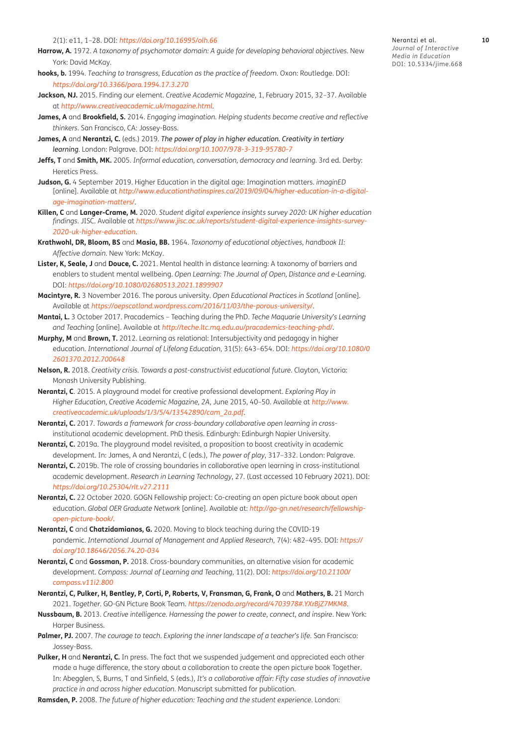- <span id="page-10-0"></span>**Harrow, A.** 1972. *A taxonomy of psychomotor domain: A guide for developing behavioral objectives.* New York: David McKay.
- **hooks, b.** 1994. *Teaching to transgress, Education as the practice of freedom*. Oxon: Routledge. DOI: *[https://doi.org/10.3366/para.1994.17.3.270](https://doi.org/10.3366/para.1994.17.3.270 )*
- **Jackson, NJ.** 2015. Finding our element. *Creative Academic Magazine*, 1, February 2015, 32–37. Available at *<http://www.creativeacademic.uk/magazine.html>*.
- **James, A** and **Brookfield, S.** 2014. *Engaging imagination. Helping students become creative and reflective thinkers*. San Francisco, CA: Jossey-Bass.
- **James, A** and **Nerantzi, C.** (eds.) 2019. *The power of play in higher education. Creativity in tertiary learning*. London: Palgrave. DOI: *<https://doi.org/10.1007/978-3-319-95780-7>*
- **Jeffs, T** and **Smith, MK.** 2005. *Informal education, conversation, democracy and learning.* 3rd ed. Derby: Heretics Press.
- **Judson, G.** 4 September 2019. Higher Education in the digital age: Imagination matters. *imaginED* [online]. Available at *[http://www.educationthatinspires.ca/2019/09/04/higher-education-in-a-digital](http://www.educationthatinspires.ca/2019/09/04/higher-education-in-a-digital-age-imagination-matters/)[age-imagination-matters/](http://www.educationthatinspires.ca/2019/09/04/higher-education-in-a-digital-age-imagination-matters/)*.
- **Killen, C** and **Langer-Crame, M.** 2020. *Student digital experience insights survey 2020: UK higher education findings*. JISC. Available at *[https://www.jisc.ac.uk/reports/student-digital-experience-insights-survey-](https://www.jisc.ac.uk/reports/student-digital-experience-insights-survey-2020-uk-higher-education)[2020-uk-higher-education](https://www.jisc.ac.uk/reports/student-digital-experience-insights-survey-2020-uk-higher-education)*.
- **Krathwohl, DR, Bloom, BS** and **Masia, BB.** 1964. *Taxonomy of educational objectives, handbook II: Affective domain.* New York: McKay.
- **Lister, K, Seale, J** and **Douce, C.** 2021. Mental health in distance learning: A taxonomy of barriers and enablers to student mental wellbeing. *Open Learning: The Journal of Open, Distance and e-Learning*. DOI: *<https://doi.org/10.1080/02680513.2021.1899907>*
- **Macintyre, R.** 3 November 2016. The porous university. *Open Educational Practices in Scotland* [online]. Available at *<https://oepscotland.wordpress.com/2016/11/03/the-porous-university/>*.
- **Mantai, L.** 3 October 2017. Pracademics Teaching during the PhD. *Teche Maquarie University's Learning and Teaching* [online]. Available at *<http://teche.ltc.mq.edu.au/pracademics-teaching-phd/>*.
- **Murphy, M** and **Brown, T.** 2012. Learning as relational: Intersubjectivity and pedagogy in higher education. *International Journal of Lifelong Education*, 31(5): 643–654. DOI: *[https://doi.org/10.1080/0](https://doi.org/10.1080/02601370.2012.700648 ) [2601370.2012.700648](https://doi.org/10.1080/02601370.2012.700648 )*
- **Nelson, R.** 2018. *Creativity crisis. Towards a post-constructivist educational future*. Clayton, Victoria: Monash University Publishing.
- **Nerantzi, C**. 2015. A playground model for creative professional development. *Exploring Play in Higher Education*, *Creative Academic Magazine, 2A*, June 2015, 40–50. Available at *[http://www.](http://www.creativeacademic.uk/uploads/1/3/5/4/13542890/cam_2a.pdf) [creativeacademic.uk/uploads/1/3/5/4/13542890/cam\\_2a.pdf](http://www.creativeacademic.uk/uploads/1/3/5/4/13542890/cam_2a.pdf)*.
- **Nerantzi, C.** 2017. *Towards a framework for cross-boundary collaborative open learning in cross*institutional academic development. PhD thesis. Edinburgh: Edinburgh Napier University.
- **Nerantzi, C.** 2019a. The playground model revisited, a proposition to boost creativity in academic development. In: James, A and Nerantzi, C (eds.), *The power of play*, 317–332. London: Palgrave.
- **Nerantzi, C.** 2019b. The role of crossing boundaries in collaborative open learning in cross-institutional academic development. *Research in Learning Technology*, 27[.](https://doi.org/10.25304/rlt.v27.2111 ) (Last accessed 10 February 2021). DOI: *[https://doi.org/10.25304/rlt.v27.2111](https://doi.org/10.25304/rlt.v27.2111 )*
- **Nerantzi, C.** 22 October 2020. GOGN Fellowship project: Co-creating an open picture book about open education. *Global OER Graduate Network* [online]. Available at: *[http://go-gn.net/research/fellowship](http://go-gn.net/research/fellowship-open-picture-book/)[open-picture-book/](http://go-gn.net/research/fellowship-open-picture-book/)*.
- **Nerantzi, C** and **Chatzidamianos, G.** 2020. Moving to block teaching during the COVID-19 pandemic. *International Journal of Management and Applied Research*, 7(4): 482–495. DOI: *[https://](https://doi.org/10.18646/2056.74.20-034) [doi.org/10.18646/2056.74.20-034](https://doi.org/10.18646/2056.74.20-034)*
- **Nerantzi, C** and **Gossman, P.** 2018. Cross-boundary communities, an alternative vision for academic development. *Compass: Journal of Learning and Teaching*, 11(2). DOI: *[https://doi.org/10.21100/](https://doi.org/10.21100/compass.v11i2.800) [compass.v11i2.800](https://doi.org/10.21100/compass.v11i2.800)*
- **Nerantzi, C, Pulker, H, Bentley, P, Corti, P, Roberts, V, Fransman, G, Frank, O** and **Mathers, B.** 21 March 2021. *Together*. GO-GN Picture Book Team. *<https://zenodo.org/record/4703978#.YXrBjZ7MKM8>*.
- **Nussbaum, B.** 2013. *Creative intelligence. Harnessing the power to create, connect, and inspire*. New York: Harper Business.
- **Palmer, PJ.** 2007. *The courage to teach. Exploring the inner landscape of a teacher's life.* San Francisco: Jossey-Bass.
- **Pulker, H** and **Nerantzi, C.** In press. The fact that we suspended judgement and appreciated each other made a huge difference, the story about a collaboration to create the open picture book Together. In: Abegglen, S, Burns, T and Sinfield, S (eds.), *It's a collaborative affair: Fifty case studies of innovative practice in and across higher education.* Manuscript submitted for publication.
- **Ramsden, P.** 2008. *The future of higher education: Teaching and the student experience*. London:

Nerantzi et al. **10** *Journal of Interactive*